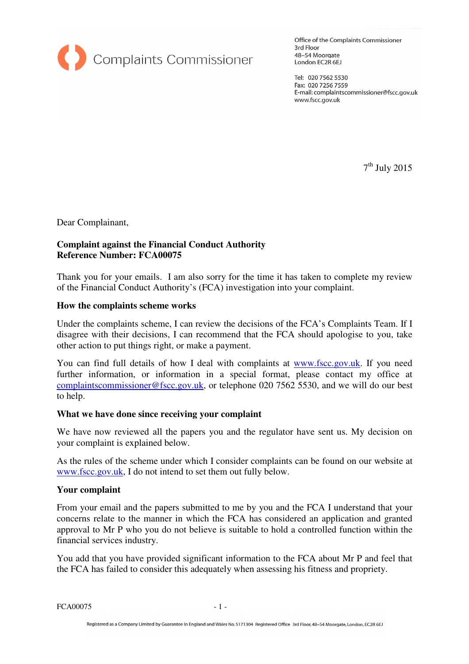

Office of the Complaints Commissioner 3rd Floor 48-54 Moorgate London EC2R 6EJ

Tel: 020 7562 5530 Fax: 020 7256 7559 E-mail: complaintscommissioner@fscc.gov.uk www.fscc.gov.uk

 $7<sup>th</sup>$  July 2015

Dear Complainant,

# **Complaint against the Financial Conduct Authority Reference Number: FCA00075**

Thank you for your emails. I am also sorry for the time it has taken to complete my review of the Financial Conduct Authority's (FCA) investigation into your complaint.

## **How the complaints scheme works**

Under the complaints scheme, I can review the decisions of the FCA's Complaints Team. If I disagree with their decisions, I can recommend that the FCA should apologise to you, take other action to put things right, or make a payment.

You can find full details of how I deal with complaints at www.fscc.gov.uk. If you need further information, or information in a special format, please contact my office at complaintscommissioner@fscc.gov.uk, or telephone 020 7562 5530, and we will do our best to help.

## **What we have done since receiving your complaint**

We have now reviewed all the papers you and the regulator have sent us. My decision on your complaint is explained below.

As the rules of the scheme under which I consider complaints can be found on our website at www.fscc.gov.uk, I do not intend to set them out fully below.

#### **Your complaint**

From your email and the papers submitted to me by you and the FCA I understand that your concerns relate to the manner in which the FCA has considered an application and granted approval to Mr P who you do not believe is suitable to hold a controlled function within the financial services industry.

You add that you have provided significant information to the FCA about Mr P and feel that the FCA has failed to consider this adequately when assessing his fitness and propriety.

FCA00075 - 1 -